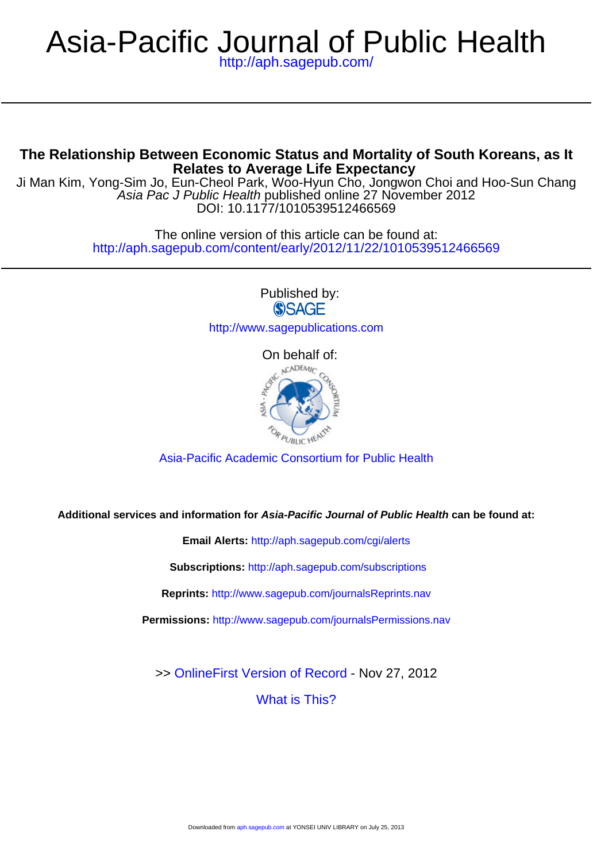# Asia-Pacific Journal of Public Health

<http://aph.sagepub.com/>

## **Relates to Average Life Expectancy The Relationship Between Economic Status and Mortality of South Koreans, as It**

DOI: 10.1177/1010539512466569 Asia Pac J Public Health published online 27 November 2012 Ji Man Kim, Yong-Sim Jo, Eun-Cheol Park, Woo-Hyun Cho, Jongwon Choi and Hoo-Sun Chang

> <http://aph.sagepub.com/content/early/2012/11/22/1010539512466569> The online version of this article can be found at:

> > Published by: **SSAGE** <http://www.sagepublications.com>

> > > On behalf of:



[Asia-Pacific Academic Consortium for Public Health](http://www.apacph.org/site/index.php)

**Additional services and information for Asia-Pacific Journal of Public Health can be found at:**

**Email Alerts:** <http://aph.sagepub.com/cgi/alerts>

**Subscriptions:** <http://aph.sagepub.com/subscriptions>

**Reprints:** <http://www.sagepub.com/journalsReprints.nav>

**Permissions:** <http://www.sagepub.com/journalsPermissions.nav>

[What is This?](http://online.sagepub.com/site/sphelp/vorhelp.xhtml) >> [OnlineFirst Version of Record -](http://aph.sagepub.com/content/early/2012/11/22/1010539512466569.full.pdf) Nov 27, 2012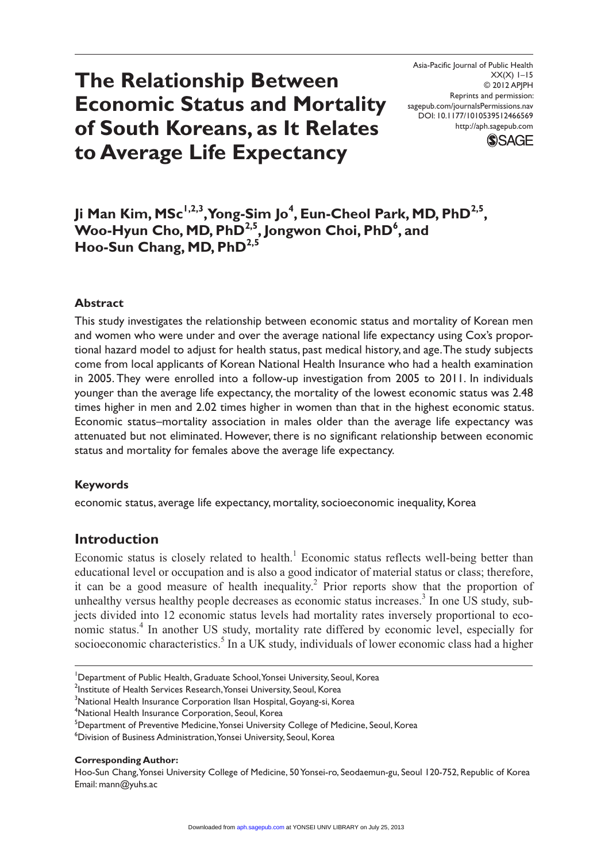# **The Relationship Between Economic Status and Mortality of South Koreans, as It Relates to Average Life Expectancy**



# Ji Man Kim, MSc<sup>1,2,3</sup>,Yong-Sim Jo<sup>4</sup>, Eun-Cheol Park, MD, PhD<sup>2,5</sup>, Woo-Hyun Cho, MD, PhD<sup>2,5</sup>, Jongwon Choi, PhD<sup>6</sup>, and Hoo-Sun Chang, MD, PhD<sup>2,5</sup>

#### **Abstract**

This study investigates the relationship between economic status and mortality of Korean men and women who were under and over the average national life expectancy using Cox's proportional hazard model to adjust for health status, past medical history, and age. The study subjects come from local applicants of Korean National Health Insurance who had a health examination in 2005. They were enrolled into a follow-up investigation from 2005 to 2011. In individuals younger than the average life expectancy, the mortality of the lowest economic status was 2.48 times higher in men and 2.02 times higher in women than that in the highest economic status. Economic status–mortality association in males older than the average life expectancy was attenuated but not eliminated. However, there is no significant relationship between economic status and mortality for females above the average life expectancy.

#### **Keywords**

economic status, average life expectancy, mortality, socioeconomic inequality, Korea

### **Introduction**

Economic status is closely related to health.<sup>1</sup> Economic status reflects well-being better than educational level or occupation and is also a good indicator of material status or class; therefore, it can be a good measure of health inequality.<sup>2</sup> Prior reports show that the proportion of unhealthy versus healthy people decreases as economic status increases. $3$  In one US study, subjects divided into 12 economic status levels had mortality rates inversely proportional to economic status.<sup>4</sup> In another US study, mortality rate differed by economic level, especially for socioeconomic characteristics.<sup>5</sup> In a UK study, individuals of lower economic class had a higher

#### **Corresponding Author:**

<sup>&</sup>lt;sup>1</sup>Department of Public Health, Graduate School, Yonsei University, Seoul, Korea

 $^2$ Institute of Health Services Research, Yonsei University, Seoul, Korea

<sup>&</sup>lt;sup>3</sup>National Health Insurance Corporation Ilsan Hospital, Goyang-si, Korea

<sup>4</sup> National Health Insurance Corporation, Seoul, Korea

<sup>&</sup>lt;sup>5</sup>Department of Preventive Medicine,Yonsei University College of Medicine, Seoul, Korea

<sup>6</sup> Division of Business Administration, Yonsei University, Seoul, Korea

Hoo-Sun Chang, Yonsei University College of Medicine, 50 Yonsei-ro, Seodaemun-gu, Seoul 120-752, Republic of Korea Email: mann@yuhs.ac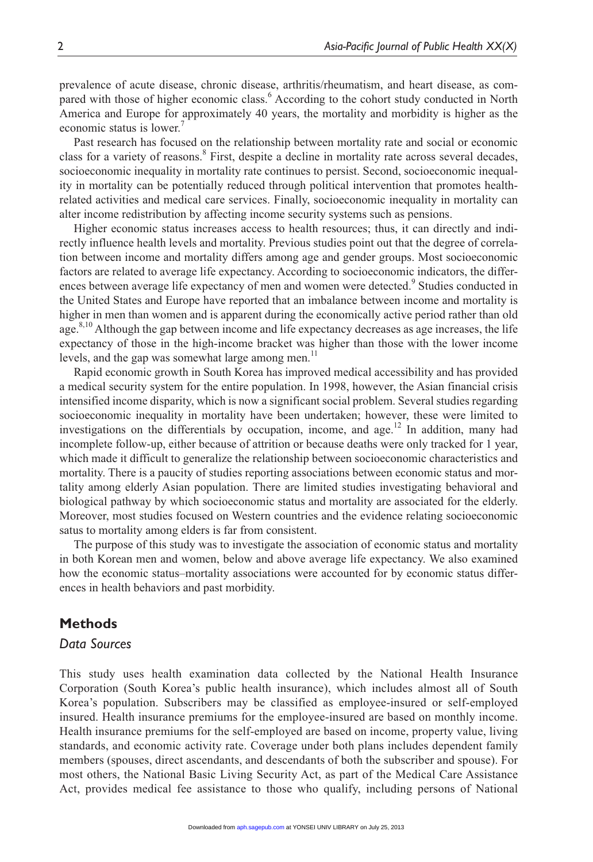prevalence of acute disease, chronic disease, arthritis/rheumatism, and heart disease, as compared with those of higher economic class.<sup>6</sup> According to the cohort study conducted in North America and Europe for approximately 40 years, the mortality and morbidity is higher as the economic status is lower.<sup>7</sup>

Past research has focused on the relationship between mortality rate and social or economic class for a variety of reasons.<sup>8</sup> First, despite a decline in mortality rate across several decades, socioeconomic inequality in mortality rate continues to persist. Second, socioeconomic inequality in mortality can be potentially reduced through political intervention that promotes healthrelated activities and medical care services. Finally, socioeconomic inequality in mortality can alter income redistribution by affecting income security systems such as pensions.

Higher economic status increases access to health resources; thus, it can directly and indirectly influence health levels and mortality. Previous studies point out that the degree of correlation between income and mortality differs among age and gender groups. Most socioeconomic factors are related to average life expectancy. According to socioeconomic indicators, the differences between average life expectancy of men and women were detected.<sup>9</sup> Studies conducted in the United States and Europe have reported that an imbalance between income and mortality is higher in men than women and is apparent during the economically active period rather than old age. $8,10$  Although the gap between income and life expectancy decreases as age increases, the life expectancy of those in the high-income bracket was higher than those with the lower income levels, and the gap was somewhat large among men.<sup>11</sup>

Rapid economic growth in South Korea has improved medical accessibility and has provided a medical security system for the entire population. In 1998, however, the Asian financial crisis intensified income disparity, which is now a significant social problem. Several studies regarding socioeconomic inequality in mortality have been undertaken; however, these were limited to investigations on the differentials by occupation, income, and age.<sup>12</sup> In addition, many had incomplete follow-up, either because of attrition or because deaths were only tracked for 1 year, which made it difficult to generalize the relationship between socioeconomic characteristics and mortality. There is a paucity of studies reporting associations between economic status and mortality among elderly Asian population. There are limited studies investigating behavioral and biological pathway by which socioeconomic status and mortality are associated for the elderly. Moreover, most studies focused on Western countries and the evidence relating socioeconomic satus to mortality among elders is far from consistent.

The purpose of this study was to investigate the association of economic status and mortality in both Korean men and women, below and above average life expectancy. We also examined how the economic status–mortality associations were accounted for by economic status differences in health behaviors and past morbidity.

#### **Methods**

#### *Data Sources*

This study uses health examination data collected by the National Health Insurance Corporation (South Korea's public health insurance), which includes almost all of South Korea's population. Subscribers may be classified as employee-insured or self-employed insured. Health insurance premiums for the employee-insured are based on monthly income. Health insurance premiums for the self-employed are based on income, property value, living standards, and economic activity rate. Coverage under both plans includes dependent family members (spouses, direct ascendants, and descendants of both the subscriber and spouse). For most others, the National Basic Living Security Act, as part of the Medical Care Assistance Act, provides medical fee assistance to those who qualify, including persons of National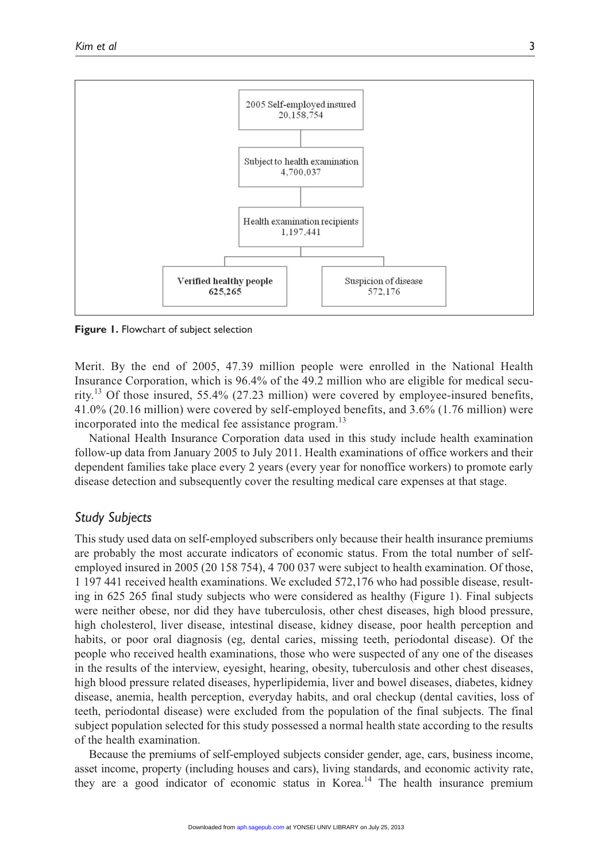

**Figure 1.** Flowchart of subject selection

Merit. By the end of 2005, 47.39 million people were enrolled in the National Health Insurance Corporation, which is 96.4% of the 49.2 million who are eligible for medical security.<sup>13</sup> Of those insured, 55.4% (27.23 million) were covered by employee-insured benefits, 41.0% (20.16 million) were covered by self-employed benefits, and 3.6% (1.76 million) were incorporated into the medical fee assistance program.<sup>13</sup>

National Health Insurance Corporation data used in this study include health examination follow-up data from January 2005 to July 2011. Health examinations of office workers and their dependent families take place every 2 years (every year for nonoffice workers) to promote early disease detection and subsequently cover the resulting medical care expenses at that stage.

#### *Study Subjects*

This study used data on self-employed subscribers only because their health insurance premiums are probably the most accurate indicators of economic status. From the total number of selfemployed insured in 2005 (20 158 754), 4 700 037 were subject to health examination. Of those, 1 197 441 received health examinations. We excluded 572,176 who had possible disease, resulting in 625 265 final study subjects who were considered as healthy (Figure 1). Final subjects were neither obese, nor did they have tuberculosis, other chest diseases, high blood pressure, high cholesterol, liver disease, intestinal disease, kidney disease, poor health perception and habits, or poor oral diagnosis (eg, dental caries, missing teeth, periodontal disease). Of the people who received health examinations, those who were suspected of any one of the diseases in the results of the interview, eyesight, hearing, obesity, tuberculosis and other chest diseases, high blood pressure related diseases, hyperlipidemia, liver and bowel diseases, diabetes, kidney disease, anemia, health perception, everyday habits, and oral checkup (dental cavities, loss of teeth, periodontal disease) were excluded from the population of the final subjects. The final subject population selected for this study possessed a normal health state according to the results of the health examination.

Because the premiums of self-employed subjects consider gender, age, cars, business income, asset income, property (including houses and cars), living standards, and economic activity rate, they are a good indicator of economic status in Korea.<sup>14</sup> The health insurance premium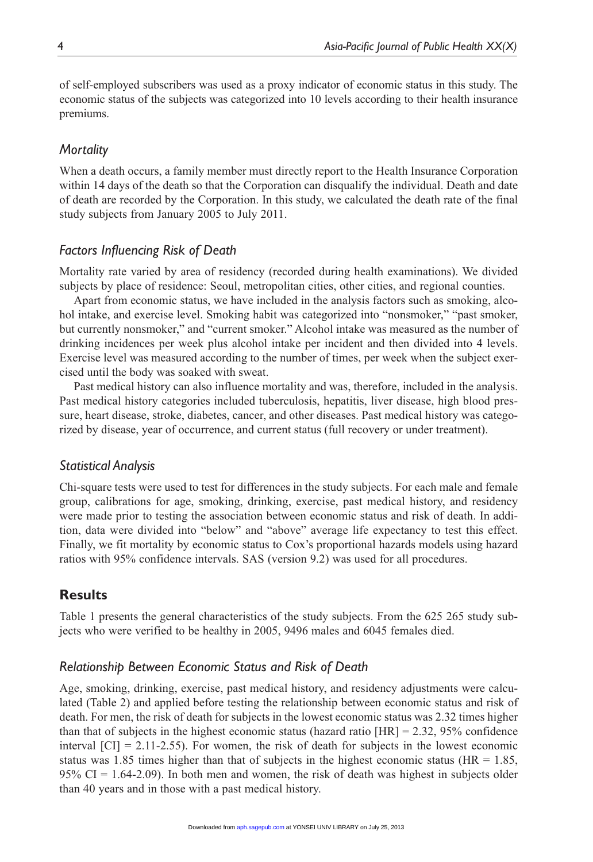of self-employed subscribers was used as a proxy indicator of economic status in this study. The economic status of the subjects was categorized into 10 levels according to their health insurance premiums.

#### *Mortality*

When a death occurs, a family member must directly report to the Health Insurance Corporation within 14 days of the death so that the Corporation can disqualify the individual. Death and date of death are recorded by the Corporation. In this study, we calculated the death rate of the final study subjects from January 2005 to July 2011.

#### *Factors Influencing Risk of Death*

Mortality rate varied by area of residency (recorded during health examinations). We divided subjects by place of residence: Seoul, metropolitan cities, other cities, and regional counties.

Apart from economic status, we have included in the analysis factors such as smoking, alcohol intake, and exercise level. Smoking habit was categorized into "nonsmoker," "past smoker, but currently nonsmoker," and "current smoker." Alcohol intake was measured as the number of drinking incidences per week plus alcohol intake per incident and then divided into 4 levels. Exercise level was measured according to the number of times, per week when the subject exercised until the body was soaked with sweat.

Past medical history can also influence mortality and was, therefore, included in the analysis. Past medical history categories included tuberculosis, hepatitis, liver disease, high blood pressure, heart disease, stroke, diabetes, cancer, and other diseases. Past medical history was categorized by disease, year of occurrence, and current status (full recovery or under treatment).

#### *Statistical Analysis*

Chi-square tests were used to test for differences in the study subjects. For each male and female group, calibrations for age, smoking, drinking, exercise, past medical history, and residency were made prior to testing the association between economic status and risk of death. In addition, data were divided into "below" and "above" average life expectancy to test this effect. Finally, we fit mortality by economic status to Cox's proportional hazards models using hazard ratios with 95% confidence intervals. SAS (version 9.2) was used for all procedures.

#### **Results**

Table 1 presents the general characteristics of the study subjects. From the 625 265 study subjects who were verified to be healthy in 2005, 9496 males and 6045 females died.

#### *Relationship Between Economic Status and Risk of Death*

Age, smoking, drinking, exercise, past medical history, and residency adjustments were calculated (Table 2) and applied before testing the relationship between economic status and risk of death. For men, the risk of death for subjects in the lowest economic status was 2.32 times higher than that of subjects in the highest economic status (hazard ratio  $\text{[HR]} = 2.32, 95\%$  confidence interval  $\text{[CI]} = 2.11 - 2.55$ . For women, the risk of death for subjects in the lowest economic status was 1.85 times higher than that of subjects in the highest economic status ( $HR = 1.85$ ,  $95\%$  CI = 1.64-2.09). In both men and women, the risk of death was highest in subjects older than 40 years and in those with a past medical history.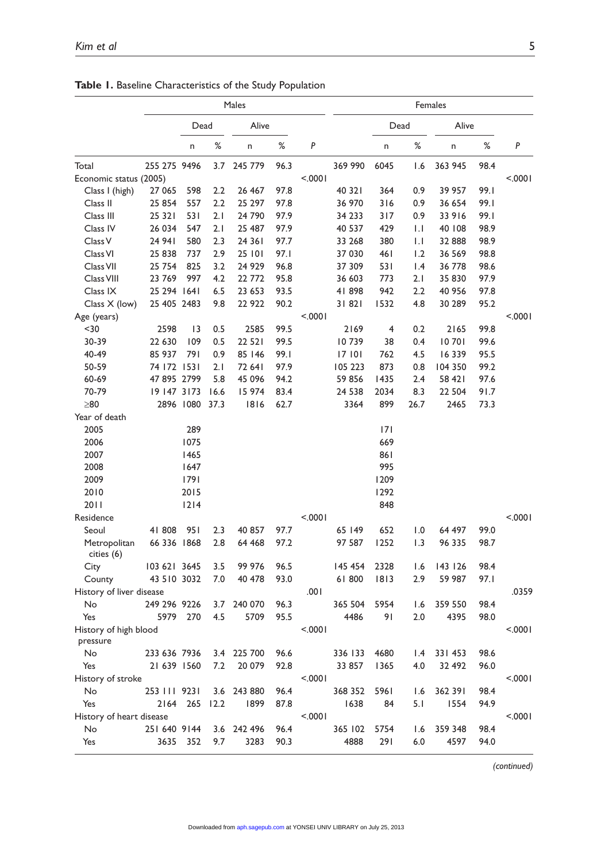|                            |              |           |      | Males       |      |         |         |      |              | Females       |       |          |
|----------------------------|--------------|-----------|------|-------------|------|---------|---------|------|--------------|---------------|-------|----------|
|                            |              | Dead      |      | Alive       |      |         |         | Dead |              | Alive         |       |          |
|                            |              | n         | %    | n           | %    | P       |         | n    | %            | n             | %     | P        |
| Total                      | 255 275 9496 |           | 3.7  | 245 779     | 96.3 |         | 369 990 | 6045 | 1.6          | 363 945       | 98.4  |          |
| Economic status (2005)     |              |           |      |             |      | < .0001 |         |      |              |               |       | < .0001  |
| Class I (high)             | 27 065       | 598       | 2.2  | 26 467      | 97.8 |         | 40 32 1 | 364  | 0.9          | 39 957        | 99.I  |          |
| Class II                   | 25 854       | 557       | 2.2  | 25 297      | 97.8 |         | 36 970  | 316  | 0.9          | 36 654        | 99.I  |          |
| Class III                  | 25 321       | 531       | 2.1  | 24 790      | 97.9 |         | 34 233  | 317  | 0.9          | 33 916        | 99. I |          |
| Class IV                   | 26 034       | 547       | 2.1  | 25 487      | 97.9 |         | 40 537  | 429  | $\mathsf{L}$ | 40 108        | 98.9  |          |
| Class V                    | 24 94 1      | 580       | 2.3  | 24 36 1     | 97.7 |         | 33 268  | 380  | $\mathsf{L}$ | 32 888        | 98.9  |          |
| Class VI                   | 25 838       | 737       | 2.9  | 25 101      | 97.1 |         | 37 030  | 461  | 1.2          | 36 569        | 98.8  |          |
| Class VII                  | 25 754       | 825       | 3.2  | 24 9 29     | 96.8 |         | 37 309  | 531  | 1.4          | 36 778        | 98.6  |          |
| Class VIII                 | 23 769       | 997       | 4.2  | 22 772      | 95.8 |         | 36 603  | 773  | 2.1          | 35 830        | 97.9  |          |
| Class IX                   | 25 294 1641  |           | 6.5  | 23 653      | 93.5 |         | 41898   | 942  | 2.2          | 40 956        | 97.8  |          |
| Class X (low)              | 25 405 2483  |           | 9.8  | 22 922      | 90.2 |         | 31821   | 1532 | 4.8          | 30 289        | 95.2  |          |
| Age (years)                |              |           |      |             |      | < .0001 |         |      |              |               |       | < .0001  |
| $30$                       | 2598         | 3         | 0.5  | 2585        | 99.5 |         | 2169    | 4    | 0.2          | 2165          | 99.8  |          |
| 30-39                      | 22 630       | 109       | 0.5  | 22 521      | 99.5 |         | 10739   | 38   | 0.4          | 10701         | 99.6  |          |
| 40-49                      | 85 937       | 791       | 0.9  | 85 146      | 99.I |         | 17 101  | 762  | 4.5          | 16 339        | 95.5  |          |
| 50-59                      | 74 172 1531  |           | 2.1  | 72 641      | 97.9 |         | 105 223 | 873  | 0.8          | 104 350       | 99.2  |          |
| 60-69                      | 47 895 2799  |           | 5.8  | 45 096      | 94.2 |         | 59856   | 1435 | 2.4          | 58 421        | 97.6  |          |
| 70-79                      | 19 147 3 173 |           | 16.6 | 15 974      | 83.4 |         | 24 5 38 | 2034 | 8.3          | 22 504        | 91.7  |          |
| $\geq 80$                  |              | 2896 1080 | 37.3 | 1816        | 62.7 |         | 3364    | 899  | 26.7         | 2465          | 73.3  |          |
| Year of death              |              |           |      |             |      |         |         |      |              |               |       |          |
| 2005                       |              | 289       |      |             |      |         |         | 7    |              |               |       |          |
| 2006                       |              | 1075      |      |             |      |         |         | 669  |              |               |       |          |
| 2007                       |              | 1465      |      |             |      |         |         | 861  |              |               |       |          |
| 2008                       |              | 1647      |      |             |      |         |         | 995  |              |               |       |          |
| 2009                       |              | 1791      |      |             |      |         |         | 1209 |              |               |       |          |
| 2010                       |              | 2015      |      |             |      |         |         | 1292 |              |               |       |          |
| 2011                       |              | $1214$    |      |             |      |         |         | 848  |              |               |       |          |
| Residence                  |              |           |      |             |      | < .0001 |         |      |              |               |       | < .0001  |
| Seoul                      | 41808        | 951       | 2.3  | 40 857      | 97.7 |         | 65 149  | 652  | 1.0          | 64 497        | 99.0  |          |
| Metropolitan<br>cities (6) | 66 336 1868  |           | 2.8  | 64 468      | 97.2 |         | 97 587  | 1252 | 1.3          | 96 335        | 98.7  |          |
| City                       | 103 621 3645 |           | 3.5  | 99 976      | 96.5 |         | 145 454 | 2328 | 1.6          | 143 126       | 98.4  |          |
| County                     | 43 510 3032  |           | 7.0  | 40 478      | 93.0 |         | 61800   | 1813 | 2.9          | 59 987        | 97.I  |          |
| History of liver disease   |              |           |      |             |      | .001    |         |      |              |               |       | .0359    |
| No                         | 249 296 9226 |           | 3.7  | 240 070     | 96.3 |         | 365 504 | 5954 | 1.6          | 359 550       | 98.4  |          |
| Yes                        | 5979         | 270       | 4.5  | 5709        | 95.5 |         | 4486    | 91   | 2.0          | 4395          | 98.0  |          |
| History of high blood      |              |           |      |             |      | 1000.   |         |      |              |               |       | $1000$ . |
| pressure                   |              |           |      |             |      |         |         |      |              |               |       |          |
| No                         | 233 636 7936 |           |      | 3.4 225 700 | 96.6 |         | 336 133 | 4680 |              | $1.4$ 331 453 | 98.6  |          |
| Yes                        | 21 639 1560  |           | 7.2  | 20 079      | 92.8 |         | 33 857  | 1365 | 4.0          | 32 492        | 96.0  |          |
| History of stroke          |              |           |      |             |      | < 0.001 |         |      |              |               |       | $1000$ . |
|                            | 253 111 9231 |           |      | 3.6 243 880 |      |         | 368 352 | 5961 |              | 362 391       |       |          |
| No                         |              |           |      |             | 96.4 |         |         |      | 1.6          |               | 98.4  |          |
| Yes                        |              | 2164 265  | 12.2 | 1899        | 87.8 |         | 1638    | 84   | 5. I         | 1554          | 94.9  |          |
| History of heart disease   |              |           |      |             |      | < .0001 |         |      |              |               |       | < 0001   |
| No                         | 251 640 9144 |           |      | 3.6 242 496 | 96.4 |         | 365 102 | 5754 | 1.6          | 359 348       | 98.4  |          |
| Yes                        |              | 3635 352  | 9.7  | 3283        | 90.3 |         | 4888    | 291  | 6.0          | 4597          | 94.0  |          |

**Table 1.** Baseline Characteristics of the Study Population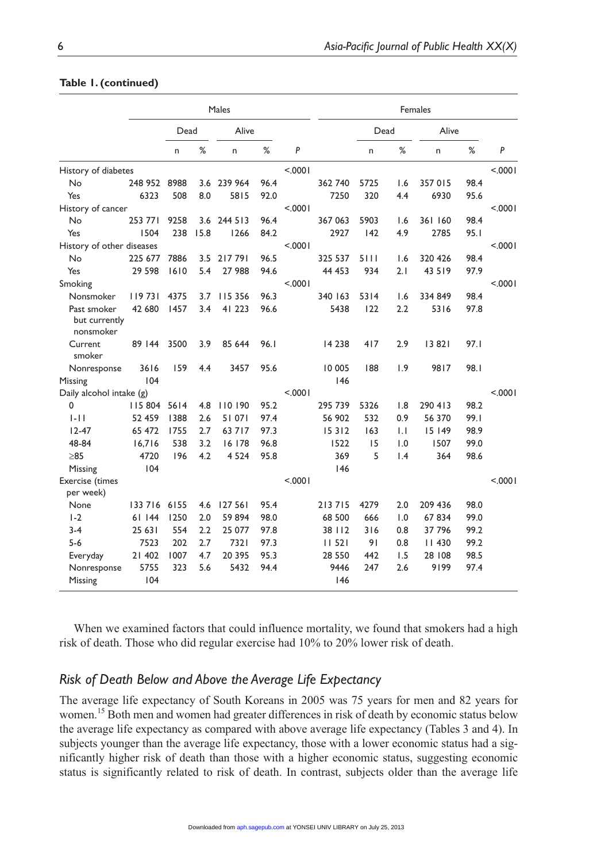|                                           |              |      |      | <b>Males</b> |      |         |         |      |              | Females       |      |          |
|-------------------------------------------|--------------|------|------|--------------|------|---------|---------|------|--------------|---------------|------|----------|
|                                           |              | Dead |      | Alive        |      |         |         | Dead |              | Alive         |      |          |
|                                           |              | n    | %    | n            | %    | P       |         | n    | %            | n             | %    | P        |
| History of diabetes                       |              |      |      |              |      | < 0001  |         |      |              |               |      | $1000$ . |
| No                                        | 248 952 8988 |      | 3.6  | 239 964      | 96.4 |         | 362 740 | 5725 | 1.6          | 357015        | 98.4 |          |
| Yes                                       | 6323         | 508  | 8.0  | 5815         | 92.0 |         | 7250    | 320  | 4.4          | 6930          | 95.6 |          |
| History of cancer                         |              |      |      |              |      | < 0001  |         |      |              |               |      | < 0.001  |
| No                                        | 253 771      | 9258 | 3.6  | 244 5 13     | 96.4 |         | 367 063 | 5903 | 1.6          | 361 160       | 98.4 |          |
| Yes                                       | 1504         | 238  | 15.8 | 1266         | 84.2 |         | 2927    | 142  | 4.9          | 2785          | 95.1 |          |
| History of other diseases                 |              |      |      |              |      | < 0001  |         |      |              |               |      | < 0001   |
| No                                        | 225 677      | 7886 | 3.5  | 217791       | 96.5 |         | 325 537 | 5111 | 1.6          | 320 426       | 98.4 |          |
| Yes                                       | 29 5 98      | 1610 | 5.4  | 27 988       | 94.6 |         | 44 453  | 934  | 2.1          | 43 5 19       | 97.9 |          |
| Smoking                                   |              |      |      |              |      | < 0001  |         |      |              |               |      | < 0.001  |
| Nonsmoker                                 | 119731       | 4375 | 3.7  | 115 356      | 96.3 |         | 340 163 | 5314 | 1.6          | 334 849       | 98.4 |          |
| Past smoker<br>but currently<br>nonsmoker | 42 680       | 1457 | 3.4  | 41 223       | 96.6 |         | 5438    | 122  | 2.2          | 5316          | 97.8 |          |
| Current<br>smoker                         | 89 144       | 3500 | 3.9  | 85 644       | 96.1 |         | 14 238  | 417  | 2.9          | 13 821        | 97.1 |          |
| Nonresponse                               | 3616         | 159  | 4.4  | 3457         | 95.6 |         | 10 005  | 188  | 1.9          | 9817          | 98.I |          |
| Missing                                   | 104          |      |      |              |      |         | 146     |      |              |               |      |          |
| Daily alcohol intake (g)                  |              |      |      |              |      | < 0001  |         |      |              |               |      | < 0001   |
| 0                                         | 115 804      | 5614 | 4.8  | 110 190      | 95.2 |         | 295 739 | 5326 | 1.8          | 290 413       | 98.2 |          |
| $  -  $                                   | 52 459       | 1388 | 2.6  | 51 071       | 97.4 |         | 56 902  | 532  | 0.9          | 56 370        | 99.1 |          |
| $12 - 47$                                 | 65 472       | 1755 | 2.7  | 63 717       | 97.3 |         | 15312   | 163  | $\mathsf{L}$ | 15 149        | 98.9 |          |
| 48-84                                     | 16,716       | 538  | 3.2  | 16 178       | 96.8 |         | 1522    | 15   | 1.0          | 1507          | 99.0 |          |
| $\geq 85$                                 | 4720         | 196  | 4.2  | 4 5 2 4      | 95.8 |         | 369     | 5    | 1.4          | 364           | 98.6 |          |
| Missing                                   | 104          |      |      |              |      |         | 146     |      |              |               |      |          |
| Exercise (times                           |              |      |      |              |      | < .0001 |         |      |              |               |      | < .0001  |
| per week)                                 |              |      |      |              |      |         |         |      |              |               |      |          |
| None                                      | 133 716 6155 |      | 4.6  | 127 561      | 95.4 |         | 213715  | 4279 | 2.0          | 209 436       | 98.0 |          |
| $1-2$                                     | 61 144       | 1250 | 2.0  | 59 894       | 98.0 |         | 68 500  | 666  | 1.0          | 67834         | 99.0 |          |
| $3-4$                                     | 25 63 1      | 554  | 2.2  | 25 077       | 97.8 |         | 38 112  | 316  | 0.8          | 37 796        | 99.2 |          |
| $5 - 6$                                   | 7523         | 202  | 2.7  | 7321         | 97.3 |         | 11521   | 91   | 0.8          | <b>II 430</b> | 99.2 |          |
| Everyday                                  | 21 402       | 1007 | 4.7  | 20 395       | 95.3 |         | 28 550  | 442  | 1.5          | 28 108        | 98.5 |          |
| Nonresponse                               | 5755         | 323  | 5.6  | 5432         | 94.4 |         | 9446    | 247  | 2.6          | 9199          | 97.4 |          |
| Missing                                   | 104          |      |      |              |      |         | 146     |      |              |               |      |          |

#### **Table 1. (continued)**

When we examined factors that could influence mortality, we found that smokers had a high risk of death. Those who did regular exercise had 10% to 20% lower risk of death.

#### *Risk of Death Below and Above the Average Life Expectancy*

The average life expectancy of South Koreans in 2005 was 75 years for men and 82 years for women.<sup>15</sup> Both men and women had greater differences in risk of death by economic status below the average life expectancy as compared with above average life expectancy (Tables 3 and 4). In subjects younger than the average life expectancy, those with a lower economic status had a significantly higher risk of death than those with a higher economic status, suggesting economic status is significantly related to risk of death. In contrast, subjects older than the average life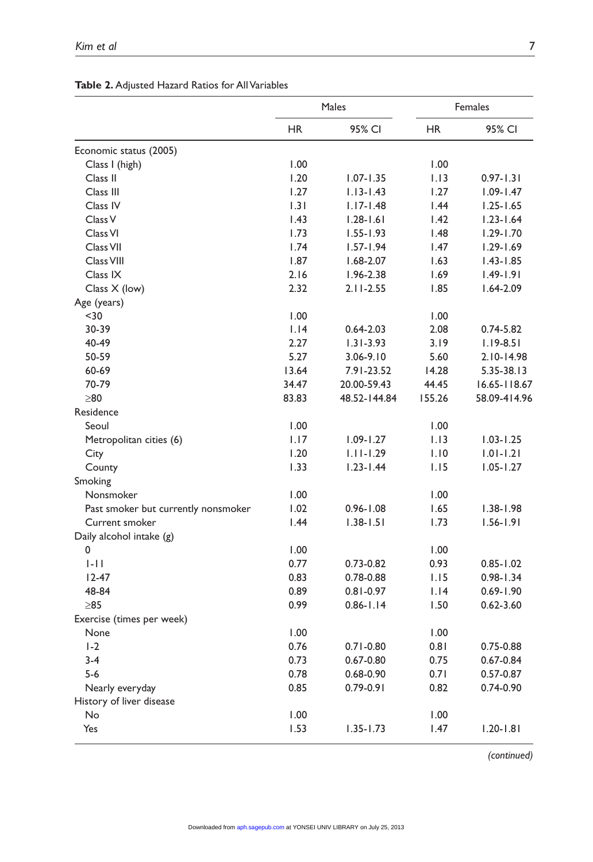|                                     |           | Males         |           | <b>Females</b>   |
|-------------------------------------|-----------|---------------|-----------|------------------|
|                                     | <b>HR</b> | 95% CI        | <b>HR</b> | 95% CI           |
| Economic status (2005)              |           |               |           |                  |
| Class I (high)                      | 1.00      |               | 1.00      |                  |
| Class <sub>II</sub>                 | 1.20      | $1.07 - 1.35$ | 1.13      | $0.97 - 1.31$    |
| Class III                           | 1.27      | $1.13 - 1.43$ | 1.27      | $1.09 - 1.47$    |
| Class IV                            | 1.31      | $1.17 - 1.48$ | 1.44      | $1.25 - 1.65$    |
| Class V                             | 1.43      | $1.28 - 1.61$ | 1.42      | $1.23 - 1.64$    |
| Class VI                            | 1.73      | $1.55 - 1.93$ | 1.48      | $1.29 - 1.70$    |
| Class VII                           | 1.74      | $1.57 - 1.94$ | 1.47      | $1.29 - 1.69$    |
| Class VIII                          | 1.87      | $1.68 - 2.07$ | 1.63      | $1.43 - 1.85$    |
| Class IX                            | 2.16      | $1.96 - 2.38$ | 1.69      | $1.49 - 1.91$    |
| Class $X$ (low)                     | 2.32      | $2.11 - 2.55$ | 1.85      | $1.64 - 2.09$    |
| Age (years)                         |           |               |           |                  |
| $30$                                | 1.00      |               | 1.00      |                  |
| 30-39                               | 1.14      | $0.64 - 2.03$ | 2.08      | $0.74 - 5.82$    |
| 40-49                               | 2.27      | $1.31 - 3.93$ | 3.19      | $1.19 - 8.51$    |
| 50-59                               | 5.27      | $3.06 - 9.10$ | 5.60      | $2.10 - 14.98$   |
| 60-69                               | 13.64     | 7.91-23.52    | 14.28     | 5.35-38.13       |
| 70-79                               | 34.47     | 20.00-59.43   | 44.45     | $16.65 - 118.67$ |
| $\geq 80$                           | 83.83     | 48.52-144.84  | 155.26    | 58.09-414.96     |
| Residence                           |           |               |           |                  |
| Seoul                               | 1.00      |               | 1.00      |                  |
| Metropolitan cities (6)             | 1.17      | $1.09 - 1.27$ | 1.13      | $1.03 - 1.25$    |
| City                                | 1.20      | $1.11 - 1.29$ | 1.10      | $1.01 - 1.21$    |
| County                              | 1.33      | $1.23 - 1.44$ | 1.15      | $1.05 - 1.27$    |
| Smoking                             |           |               |           |                  |
| Nonsmoker                           | 1.00      |               | 1.00      |                  |
| Past smoker but currently nonsmoker | 1.02      | $0.96 - 1.08$ | 1.65      | $1.38 - 1.98$    |
| Current smoker                      | 1.44      | $1.38 - 1.51$ | 1.73      | $1.56 - 1.91$    |
| Daily alcohol intake (g)            |           |               |           |                  |
| 0                                   | 1.00      |               | 1.00      |                  |
| $1 - 11$                            | 0.77      | 0.73-0.82     | 0.93      | $0.85 - 1.02$    |
| $12 - 47$                           | 0.83      | 0.78-0.88     | 1.15      | $0.98 - 1.34$    |
| 48-84                               | 0.89      | $0.81 - 0.97$ | 1.14      | $0.69 - 1.90$    |
| $\geq 85$                           | 0.99      | $0.86 - 1.14$ | 1.50      | $0.62 - 3.60$    |
| Exercise (times per week)           |           |               |           |                  |
| None                                | 1.00      |               | 1.00      |                  |
| $1-2$                               | 0.76      | $0.71 - 0.80$ | 0.81      | 0.75-0.88        |
| $3-4$                               | 0.73      | $0.67 - 0.80$ | 0.75      | $0.67 - 0.84$    |
| $5-6$                               | 0.78      | 0.68-0.90     | 0.71      | 0.57-0.87        |
| Nearly everyday                     | 0.85      | $0.79 - 0.91$ | 0.82      | 0.74-0.90        |
| History of liver disease            |           |               |           |                  |
| No                                  | 1.00      |               | 1.00      |                  |
| Yes                                 | 1.53      | $1.35 - 1.73$ | 1.47      | $1.20 - 1.81$    |

#### **Table 2.** Adjusted Hazard Ratios for All Variables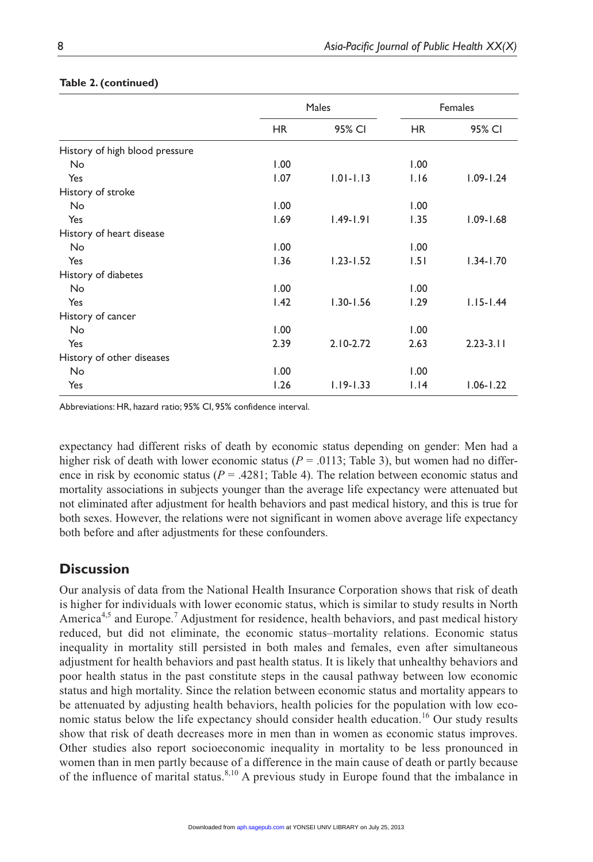|                                |           | Males         |           | Females       |
|--------------------------------|-----------|---------------|-----------|---------------|
|                                | <b>HR</b> | 95% CI        | <b>HR</b> | 95% CI        |
| History of high blood pressure |           |               |           |               |
| <b>No</b>                      | 1.00      |               | 1.00      |               |
| Yes                            | 1.07      | $1.01 - 1.13$ | 1.16      | $1.09 - 1.24$ |
| History of stroke              |           |               |           |               |
| No                             | 1.00      |               | 1.00      |               |
| Yes                            | 1.69      | $1.49 - 1.91$ | 1.35      | $1.09 - 1.68$ |
| History of heart disease       |           |               |           |               |
| No                             | 1.00      |               | 1.00      |               |
| Yes                            | 1.36      | $1.23 - 1.52$ | 1.51      | $1.34 - 1.70$ |
| History of diabetes            |           |               |           |               |
| No                             | 1.00      |               | 1.00      |               |
| Yes                            | 1.42      | $1.30 - 1.56$ | 1.29      | $1.15 - 1.44$ |
| History of cancer              |           |               |           |               |
| No                             | 1.00      |               | 1.00      |               |
| Yes                            | 2.39      | $2.10 - 2.72$ | 2.63      | $2.23 - 3.11$ |
| History of other diseases      |           |               |           |               |
| No                             | 1.00      |               | 1.00      |               |
| Yes                            | 1.26      | $1.19 - 1.33$ | 1.14      | $1.06 - 1.22$ |

#### **Table 2. (continued)**

Abbreviations: HR, hazard ratio; 95% CI, 95% confidence interval.

expectancy had different risks of death by economic status depending on gender: Men had a higher risk of death with lower economic status  $(P = .0113;$  Table 3), but women had no difference in risk by economic status ( $P = .4281$ ; Table 4). The relation between economic status and mortality associations in subjects younger than the average life expectancy were attenuated but not eliminated after adjustment for health behaviors and past medical history, and this is true for both sexes. However, the relations were not significant in women above average life expectancy both before and after adjustments for these confounders.

# **Discussion**

Our analysis of data from the National Health Insurance Corporation shows that risk of death is higher for individuals with lower economic status, which is similar to study results in North America<sup>4,5</sup> and Europe.<sup>7</sup> Adjustment for residence, health behaviors, and past medical history reduced, but did not eliminate, the economic status–mortality relations. Economic status inequality in mortality still persisted in both males and females, even after simultaneous adjustment for health behaviors and past health status. It is likely that unhealthy behaviors and poor health status in the past constitute steps in the causal pathway between low economic status and high mortality. Since the relation between economic status and mortality appears to be attenuated by adjusting health behaviors, health policies for the population with low economic status below the life expectancy should consider health education.<sup>16</sup> Our study results show that risk of death decreases more in men than in women as economic status improves. Other studies also report socioeconomic inequality in mortality to be less pronounced in women than in men partly because of a difference in the main cause of death or partly because of the influence of marital status.<sup>8,10</sup> A previous study in Europe found that the imbalance in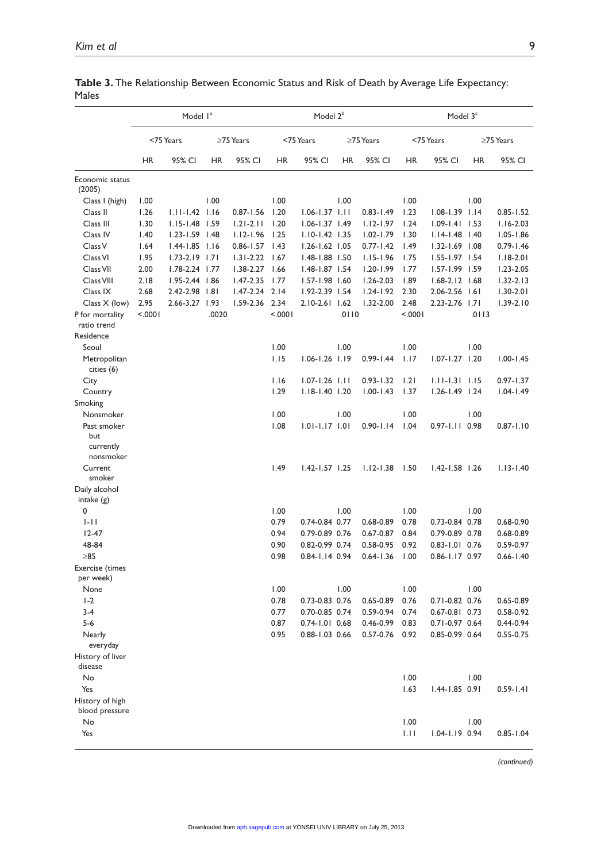|                               | Model l <sup>a</sup> |                      |           |                    |        | Model 2 <sup>b</sup> |       |               | Model 3 <sup>c</sup> |                      |       |                 |
|-------------------------------|----------------------|----------------------|-----------|--------------------|--------|----------------------|-------|---------------|----------------------|----------------------|-------|-----------------|
|                               |                      | <75 Years            |           | $\geq$ 75 Years    |        | <75 Years            |       | ≥75 Years     |                      | <75 Years            |       | $\geq$ 75 Years |
|                               | HR                   | 95% CI               | <b>HR</b> | 95% CI             | HR     | 95% CI               | HR    | 95% CI        | HR                   | 95% CI               | HR    | 95% CI          |
| Economic status               |                      |                      |           |                    |        |                      |       |               |                      |                      |       |                 |
| (2005)                        |                      |                      |           |                    |        |                      |       |               |                      |                      |       |                 |
| Class I (high)                | 1.00                 |                      | 1.00      |                    | 1.00   |                      | 1.00  |               | 1.00                 |                      | 1.00  |                 |
| Class II                      | 1.26                 | $1.11 - 1.42$ $1.16$ |           | $0.87 - 1.56$      | 1.20   | $1.06 - 1.37$ $1.11$ |       | $0.83 - 1.49$ | 1.23                 | $1.08 - 1.39$ $1.14$ |       | $0.85 - 1.52$   |
| Class III                     | 1.30                 | $1.15 - 1.48$ 1.59   |           | $1.21 - 2.11$      | 1.20   | $1.06 - 1.37$ 1.49   |       | $1.12 - 1.97$ | 1.24                 | $1.09 - 1.41$ 1.53   |       | $1.16 - 2.03$   |
| Class IV                      | 1.40                 | 1.23-1.59 1.48       |           | $1.12 - 1.96$      | 1.25   | $1.10 - 1.42$ $1.35$ |       | $1.02 - 1.79$ | 1.30                 | $1.14 - 1.48$ 1.40   |       | $1.05 - 1.86$   |
| Class V                       | 1.64                 | $1.44 - 1.85$ $1.16$ |           | $0.86 - 1.57$      | 1.43   | $1.26 - 1.62$ 1.05   |       | $0.77 - 1.42$ | 1.49                 | $1.32 - 1.69$ 1.08   |       | $0.79 - 1.46$   |
| Class VI                      | 1.95                 | $1.73 - 2.19$ 1.71   |           | $1.31 - 2.22$      | 1.67   | $1.48 - 1.88$ 1.50   |       | $1.15 - 1.96$ | 1.75                 | $1.55 - 1.97$ 1.54   |       | $1.18 - 2.01$   |
| Class VII                     | 2.00                 | 1.78-2.24 1.77       |           | $1.38 - 2.27$      | 1.66   | $1.48 - 1.87$ $1.54$ |       | $1.20 - 1.99$ | 1.77                 | $1.57 - 1.99$ 1.59   |       | $1.23 - 2.05$   |
| Class VIII                    | 2.18                 | 1.95-2.44 1.86       |           | $1.47 - 2.35$      | 1.77   | 1.57-1.98 1.60       |       | $1.26 - 2.03$ | 1.89                 | $1.68 - 2.12$ $1.68$ |       | $1.32 - 2.13$   |
| Class IX                      | 2.68                 | 2.42-2.98 1.81       |           | $1.47 - 2.24$ 2.14 |        | $1.92 - 2.39$ 1.54   |       | $1.24 - 1.92$ | 2.30                 | 2.06-2.56 1.61       |       | $1.30 - 2.01$   |
| Class $X$ (low)               | 2.95                 | 2.66-3.27 1.93       |           | 1.59-2.36 2.34     |        | 2.10-2.61 1.62       |       | $1.32 - 2.00$ | 2.48                 | 2.23-2.76 1.71       |       | $1.39 - 2.10$   |
| P for mortality               | $1000$ .             |                      | .0020     |                    | < 0001 |                      | .0110 |               | < 0001               |                      | .0113 |                 |
| ratio trend                   |                      |                      |           |                    |        |                      |       |               |                      |                      |       |                 |
| Residence                     |                      |                      |           |                    |        |                      |       |               |                      |                      |       |                 |
| Seoul                         |                      |                      |           |                    | 1.00   |                      | 1.00  |               | 1.00                 |                      | 1.00  |                 |
| Metropolitan<br>cities (6)    |                      |                      |           |                    | 1.15   | $1.06 - 1.26$ $1.19$ |       | $0.99 - 1.44$ | 1.17                 | $1.07 - 1.27$ 1.20   |       | $1.00 - 1.45$   |
| City                          |                      |                      |           |                    | 1.16   | $1.07 - 1.26$ $1.11$ |       | $0.93 - 1.32$ | 1.21                 | $1.11 - 1.31$ $1.15$ |       | $0.97 - 1.37$   |
| Country                       |                      |                      |           |                    | 1.29   | $1.18 - 1.40$ 1.20   |       | $1.00 - 1.43$ | 1.37                 | $1.26 - 1.49$ $1.24$ |       | $1.04 - 1.49$   |
| Smoking                       |                      |                      |           |                    |        |                      |       |               |                      |                      |       |                 |
| Nonsmoker                     |                      |                      |           |                    | 1.00   |                      | 1.00  |               | 1.00                 |                      | 1.00  |                 |
| Past smoker                   |                      |                      |           |                    | 1.08   | $1.01 - 1.17$ $1.01$ |       | $0.90 - 1.14$ | 1.04                 | $0.97 - 1.11$ 0.98   |       | $0.87 - 1.10$   |
| but                           |                      |                      |           |                    |        |                      |       |               |                      |                      |       |                 |
| currently                     |                      |                      |           |                    |        |                      |       |               |                      |                      |       |                 |
| nonsmoker                     |                      |                      |           |                    |        |                      |       |               |                      |                      |       |                 |
| Current                       |                      |                      |           |                    | 1.49   | $1.42 - 1.57$ 1.25   |       | $1.12 - 1.38$ | 1.50                 | $1.42 - 1.58$ 1.26   |       | $1.13 - 1.40$   |
| smoker                        |                      |                      |           |                    |        |                      |       |               |                      |                      |       |                 |
| Daily alcohol<br>intake $(g)$ |                      |                      |           |                    |        |                      |       |               |                      |                      |       |                 |
| 0                             |                      |                      |           |                    | 1.00   |                      | 1.00  |               | 1.00                 |                      | 1.00  |                 |
| $  -  $                       |                      |                      |           |                    | 0.79   | 0.74-0.84 0.77       |       | $0.68 - 0.89$ | 0.78                 | 0.73-0.84 0.78       |       | 0.68-0.90       |
| $12 - 47$                     |                      |                      |           |                    | 0.94   | 0.79-0.89 0.76       |       | $0.67 - 0.87$ | 0.84                 | 0.79-0.89 0.78       |       | 0.68-0.89       |
| 48-84                         |                      |                      |           |                    | 0.90   | 0.82-0.99 0.74       |       | 0.58-0.95     | 0.92                 | $0.83 - 1.01$ 0.76   |       | 0.59-0.97       |
| $\geq 85$                     |                      |                      |           |                    | 0.98   | 0.84-1.14 0.94       |       | $0.64 - 1.36$ | 1.00                 | $0.86 - 1.17$ 0.97   |       | $0.66 - 1.40$   |
| Exercise (times               |                      |                      |           |                    |        |                      |       |               |                      |                      |       |                 |
| per week)                     |                      |                      |           |                    |        |                      |       |               |                      |                      |       |                 |
| None                          |                      |                      |           |                    | 1.00   |                      | 1.00  |               | 1.00                 |                      | 1.00  |                 |
| $1-2$                         |                      |                      |           |                    | 0.78   | 0.73-0.83 0.76       |       | $0.65 - 0.89$ | 0.76                 | 0.71-0.82 0.76       |       | 0.65-0.89       |
| $3-4$                         |                      |                      |           |                    | 0.77   | 0.70-0.85 0.74       |       | 0.59-0.94     | 0.74                 | 0.67-0.81 0.73       |       | 0.58-0.92       |
| $5 - 6$                       |                      |                      |           |                    | 0.87   | 0.74-1.01 0.68       |       | 0.46-0.99     | 0.83                 | 0.71-0.97 0.64       |       | 0.44-0.94       |
| Nearly                        |                      |                      |           |                    | 0.95   | 0.88-1.03 0.66       |       | 0.57-0.76     | 0.92                 | 0.85-0.99 0.64       |       | $0.55 - 0.75$   |
| everyday                      |                      |                      |           |                    |        |                      |       |               |                      |                      |       |                 |
| History of liver              |                      |                      |           |                    |        |                      |       |               |                      |                      |       |                 |
| disease                       |                      |                      |           |                    |        |                      |       |               |                      |                      |       |                 |
| No                            |                      |                      |           |                    |        |                      |       |               | 1.00                 |                      | 1.00  |                 |
| Yes                           |                      |                      |           |                    |        |                      |       |               | 1.63                 | $1.44 - 1.85$ 0.91   |       | $0.59 - 1.41$   |
| History of high               |                      |                      |           |                    |        |                      |       |               |                      |                      |       |                 |
| blood pressure                |                      |                      |           |                    |        |                      |       |               |                      |                      |       |                 |
| No                            |                      |                      |           |                    |        |                      |       |               | 1.00                 |                      | 1.00  |                 |
| Yes                           |                      |                      |           |                    |        |                      |       |               | 1.11                 | $1.04 - 1.19$ 0.94   |       | $0.85 - 1.04$   |
|                               |                      |                      |           |                    |        |                      |       |               |                      |                      |       |                 |

**Table 3.** The Relationship Between Economic Status and Risk of Death by Average Life Expectancy: Males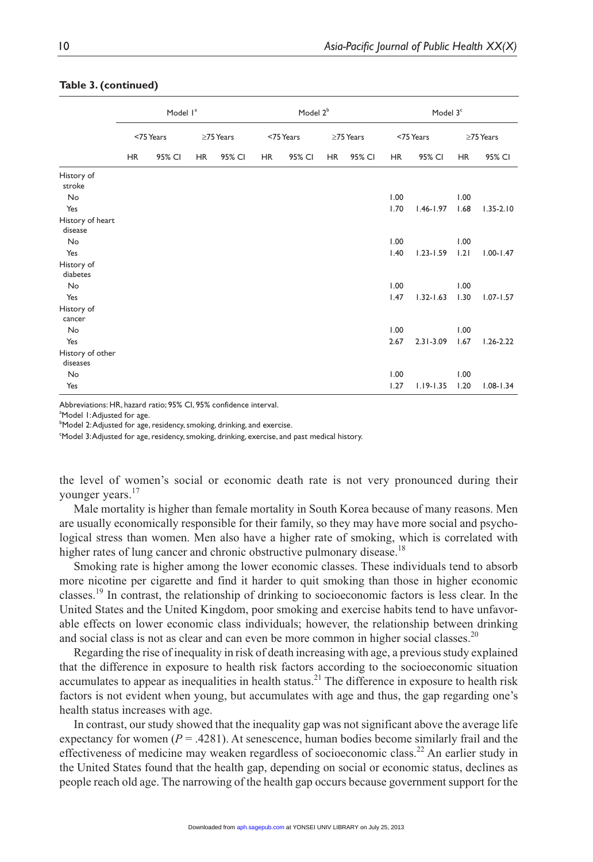|                              |           | Model I <sup>a</sup> |                 |        |           | Model 2 <sup>b</sup> |                 |        | Model 3 <sup>c</sup> |               |           |                 |  |
|------------------------------|-----------|----------------------|-----------------|--------|-----------|----------------------|-----------------|--------|----------------------|---------------|-----------|-----------------|--|
|                              | <75 Years |                      | $\geq$ 75 Years |        | <75 Years |                      | $\geq$ 75 Years |        |                      | <75 Years     |           | $\geq$ 75 Years |  |
|                              | <b>HR</b> | 95% CI               | <b>HR</b>       | 95% CI | <b>HR</b> | 95% CI               | <b>HR</b>       | 95% CI | <b>HR</b>            | 95% CI        | <b>HR</b> | 95% CI          |  |
| History of<br>stroke         |           |                      |                 |        |           |                      |                 |        |                      |               |           |                 |  |
| No                           |           |                      |                 |        |           |                      |                 |        | 1.00                 |               | 1.00      |                 |  |
| Yes                          |           |                      |                 |        |           |                      |                 |        | 1.70                 | $1.46 - 1.97$ | 1.68      | $1.35 - 2.10$   |  |
| History of heart<br>disease  |           |                      |                 |        |           |                      |                 |        |                      |               |           |                 |  |
| No                           |           |                      |                 |        |           |                      |                 |        | 1.00                 |               | 1.00      |                 |  |
| Yes                          |           |                      |                 |        |           |                      |                 |        | 1.40                 | $1.23 - 1.59$ | 1.21      | $1.00 - 1.47$   |  |
| History of<br>diabetes       |           |                      |                 |        |           |                      |                 |        |                      |               |           |                 |  |
| No                           |           |                      |                 |        |           |                      |                 |        | 1.00                 |               | 1.00      |                 |  |
| Yes                          |           |                      |                 |        |           |                      |                 |        | 1.47                 | $1.32 - 1.63$ | 1.30      | $1.07 - 1.57$   |  |
| History of                   |           |                      |                 |        |           |                      |                 |        |                      |               |           |                 |  |
| cancer                       |           |                      |                 |        |           |                      |                 |        |                      |               |           |                 |  |
| No                           |           |                      |                 |        |           |                      |                 |        | 1.00                 |               | 1.00      |                 |  |
| Yes                          |           |                      |                 |        |           |                      |                 |        | 2.67                 | $2.31 - 3.09$ | 1.67      | $1.26 - 2.22$   |  |
| History of other<br>diseases |           |                      |                 |        |           |                      |                 |        |                      |               |           |                 |  |
| No                           |           |                      |                 |        |           |                      |                 |        | 1.00                 |               | 1.00      |                 |  |
| Yes                          |           |                      |                 |        |           |                      |                 |        | 1.27                 | $1.19 - 1.35$ | 1.20      | $1.08 - 1.34$   |  |

#### **Table 3. (continued)**

Abbreviations: HR, hazard ratio; 95% CI, 95% confidence interval.

<sup>a</sup>Model 1: Adjusted for age.

 $^{\rm b}$ Model 2:Adjusted for age, residency, smoking, drinking, and exercise.

Model 3: Adjusted for age, residency, smoking, drinking, exercise, and past medical history.

the level of women's social or economic death rate is not very pronounced during their younger years.<sup>17</sup>

Male mortality is higher than female mortality in South Korea because of many reasons. Men are usually economically responsible for their family, so they may have more social and psychological stress than women. Men also have a higher rate of smoking, which is correlated with higher rates of lung cancer and chronic obstructive pulmonary disease.<sup>18</sup>

Smoking rate is higher among the lower economic classes. These individuals tend to absorb more nicotine per cigarette and find it harder to quit smoking than those in higher economic classes.19 In contrast, the relationship of drinking to socioeconomic factors is less clear. In the United States and the United Kingdom, poor smoking and exercise habits tend to have unfavorable effects on lower economic class individuals; however, the relationship between drinking and social class is not as clear and can even be more common in higher social classes.<sup>20</sup>

Regarding the rise of inequality in risk of death increasing with age, a previous study explained that the difference in exposure to health risk factors according to the socioeconomic situation accumulates to appear as inequalities in health status.<sup>21</sup> The difference in exposure to health risk factors is not evident when young, but accumulates with age and thus, the gap regarding one's health status increases with age.

In contrast, our study showed that the inequality gap was not significant above the average life expectancy for women  $(P = .4281)$ . At senescence, human bodies become similarly frail and the effectiveness of medicine may weaken regardless of socioeconomic class.<sup>22</sup> An earlier study in the United States found that the health gap, depending on social or economic status, declines as people reach old age. The narrowing of the health gap occurs because government support for the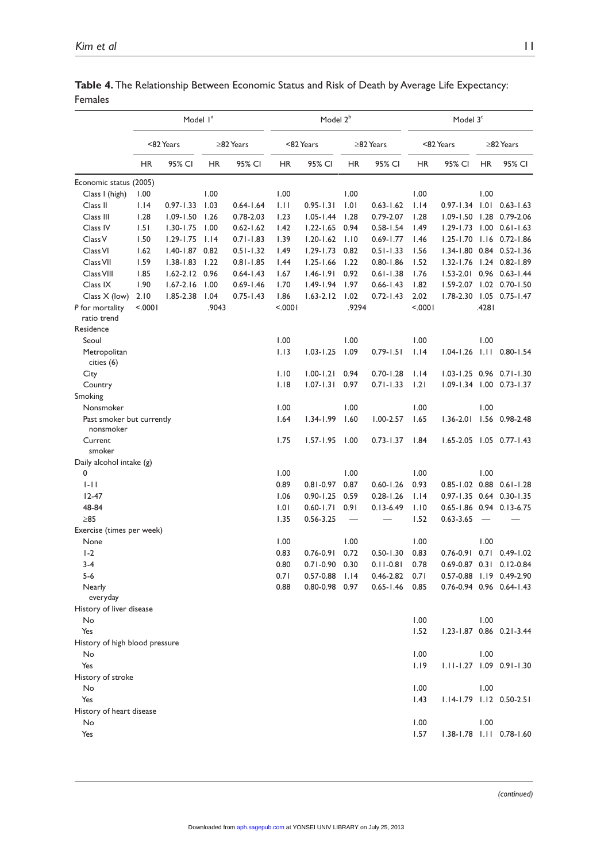|                                        |           | Model l <sup>a</sup> |           |               | Model 2 <sup>b</sup> |                    |       |               | Model 3 <sup>c</sup> |               |           |                                |
|----------------------------------------|-----------|----------------------|-----------|---------------|----------------------|--------------------|-------|---------------|----------------------|---------------|-----------|--------------------------------|
|                                        |           | <82 Years            |           | ≥82 Years     |                      | <82 Years          |       | ≥82 Years     |                      | <82 Years     |           | ≥82 Years                      |
|                                        | <b>HR</b> | 95% CI               | <b>HR</b> | 95% CI        | <b>HR</b>            | 95% CI             | HR    | 95% CI        | <b>HR</b>            | 95% CI        | <b>HR</b> | 95% CI                         |
| Economic status (2005)                 |           |                      |           |               |                      |                    |       |               |                      |               |           |                                |
| Class I (high)                         | 1.00      |                      | 1.00      |               | 1.00                 |                    | 1.00  |               | 1.00                 |               | 1.00      |                                |
| Class II                               | 1.14      | $0.97 - 1.33$ 1.03   |           | $0.64 - 1.64$ | 1.11                 | $0.95 - 1.31$      | 1.01  | $0.63 - 1.62$ | 1.14                 |               |           | 0.97-1.34 1.01 0.63-1.63       |
| Class III                              | 1.28      | $1.09 - 1.50$ 1.26   |           | $0.78 - 2.03$ | 1.23                 | $1.05 - 1.44$      | 1.28  | 0.79-2.07     | 1.28                 |               |           | 1.09-1.50 1.28 0.79-2.06       |
| Class IV                               | 1.51      | 1.30-1.75 1.00       |           | $0.62 - 1.62$ | 1.42                 | $1.22 - 1.65$ 0.94 |       | $0.58 - 1.54$ | 1.49                 |               |           | 1.29-1.73 1.00 0.61-1.63       |
| Class V                                | 1.50      | $1.29 - 1.75$ $1.14$ |           | $0.71 - 1.83$ | 1.39                 | $1.20 - 1.62$      | 1.10  | $0.69 - 1.77$ | 1.46                 |               |           | 1.25-1.70 1.16 0.72-1.86       |
| Class VI                               | 1.62      | 1.40-1.87 0.82       |           | $0.51 - 1.32$ | 1.49                 | $1.29 - 1.73$ 0.82 |       | $0.51 - 1.33$ | 1.56                 |               |           | 1.34-1.80 0.84 0.52-1.36       |
| Class VII                              | 1.59      | $1.38 - 1.83$ $1.22$ |           | $0.81 - 1.85$ | 1.44                 | $1.25 - 1.66$      | 1.22  | $0.80 - 1.86$ | 1.52                 |               |           | 1.32-1.76 1.24 0.82-1.89       |
| Class VIII                             | 1.85      | $1.62 - 2.12$ 0.96   |           | $0.64 - 1.43$ | 1.67                 | $1.46 - 1.91$      | 0.92  | $0.61 - 1.38$ | 1.76                 |               |           | 1.53-2.01 0.96 0.63-1.44       |
| Class IX                               | 1.90      | $1.67 - 2.16$ $1.00$ |           | $0.69 - 1.46$ | 1.70                 | $1.49 - 1.94$      | 1.97  | $0.66 - 1.43$ | 1.82                 |               |           | 1.59-2.07 1.02 0.70-1.50       |
| Class $X$ (low)                        | 2.10      | 1.85-2.38 1.04       |           | $0.75 - 1.43$ | 1.86                 | $1.63 - 2.12$      | 1.02  | $0.72 - 1.43$ | 2.02                 |               |           | 1.78-2.30 1.05 0.75-1.47       |
| P for mortality<br>ratio trend         | < 0001    |                      | .9043     |               | $1000$ .             |                    | .9294 |               | < .0001              |               | .4281     |                                |
| Residence                              |           |                      |           |               |                      |                    |       |               |                      |               |           |                                |
| Seoul                                  |           |                      |           |               | 1.00                 |                    | 1.00  |               | 1.00                 |               | 1.00      |                                |
| Metropolitan<br>cities (6)             |           |                      |           |               | 1.13                 | $1.03 - 1.25$      | 1.09  | $0.79 - 1.51$ | 1.14                 |               |           | $1.04 - 1.26$ $1.11$ 0.80-1.54 |
| City                                   |           |                      |           |               | 1.10                 | $1.00 - 1.21$      | 0.94  | $0.70 - 1.28$ | 1.14                 |               |           | 1.03-1.25 0.96 0.71-1.30       |
| Country                                |           |                      |           |               | 1.18                 | $1.07 - 1.31$      | 0.97  | $0.71 - 1.33$ | 1.21                 |               |           | 1.09-1.34 1.00 0.73-1.37       |
| Smoking                                |           |                      |           |               |                      |                    |       |               |                      |               |           |                                |
| Nonsmoker                              |           |                      |           |               | 1.00                 |                    | 1.00  |               | 1.00                 |               | 1.00      |                                |
| Past smoker but currently<br>nonsmoker |           |                      |           |               | 1.64                 | $1.34 - 1.99$      | 1.60  | $1.00 - 2.57$ | 1.65                 |               |           | 1.36-2.01 1.56 0.98-2.48       |
| Current<br>smoker                      |           |                      |           |               | 1.75                 | $1.57 - 1.95$ 1.00 |       | $0.73 - 1.37$ | 1.84                 |               |           | 1.65-2.05 1.05 0.77-1.43       |
| Daily alcohol intake (g)               |           |                      |           |               |                      |                    |       |               |                      |               |           |                                |
| 0                                      |           |                      |           |               | 1.00                 |                    | 1.00  |               | 1.00                 |               | 1.00      |                                |
| $1 - 11$                               |           |                      |           |               | 0.89                 | $0.81 - 0.97$      | 0.87  | $0.60 - 1.26$ | 0.93                 |               |           | 0.85-1.02 0.88 0.61-1.28       |
| $12 - 47$                              |           |                      |           |               | 1.06                 | $0.90 - 1.25$      | 0.59  | $0.28 - 1.26$ | 1.14                 |               |           | 0.97-1.35 0.64 0.30-1.35       |
| 48-84                                  |           |                      |           |               | 1.01                 | $0.60 - 1.71$      | 0.91  | $0.13 - 6.49$ | 1.10                 |               |           | 0.65-1.86 0.94 0.13-6.75       |
| $\geq 85$                              |           |                      |           |               | 1.35                 | 0.56-3.25          |       |               | 1.52                 | $0.63 - 3.65$ |           |                                |
| Exercise (times per week)              |           |                      |           |               |                      |                    |       |               |                      |               |           |                                |
| None                                   |           |                      |           |               | 1.00                 |                    | 1.00  |               | 1.00                 |               | 1.00      |                                |
| $1-2$                                  |           |                      |           |               | 0.83                 | $0.76 - 0.91$      | 0.72  | $0.50 - 1.30$ | 0.83                 |               |           | 0.76-0.91 0.71 0.49-1.02       |
| $3 - 4$                                |           |                      |           |               | 0.80                 | $0.71 - 0.90$      | 0.30  | $0.11 - 0.81$ | 0.78                 |               |           | 0.69-0.87 0.31 0.12-0.84       |
| $5 - 6$                                |           |                      |           |               | 0.71                 | 0.57-0.88          | 1.14  | $0.46 - 2.82$ | 0.71                 |               |           | 0.57-0.88 1.19 0.49-2.90       |
| Nearly                                 |           |                      |           |               | 0.88                 | 0.80-0.98 0.97     |       | $0.65 - 1.46$ | 0.85                 |               |           | 0.76-0.94 0.96 0.64-1.43       |
| everyday                               |           |                      |           |               |                      |                    |       |               |                      |               |           |                                |
| History of liver disease               |           |                      |           |               |                      |                    |       |               |                      |               |           |                                |
| No                                     |           |                      |           |               |                      |                    |       |               | 1.00                 |               | 1.00      |                                |
| Yes                                    |           |                      |           |               |                      |                    |       |               | 1.52                 |               |           | 1.23-1.87 0.86 0.21-3.44       |
| History of high blood pressure         |           |                      |           |               |                      |                    |       |               |                      |               |           |                                |
| No                                     |           |                      |           |               |                      |                    |       |               | 1.00                 |               | 1.00      |                                |
| Yes                                    |           |                      |           |               |                      |                    |       |               | 1.19                 |               |           | 1.11-1.27 1.09 0.91-1.30       |
| History of stroke                      |           |                      |           |               |                      |                    |       |               |                      |               |           |                                |
| No<br>Yes                              |           |                      |           |               |                      |                    |       |               | 1.00                 |               | 1.00      |                                |
|                                        |           |                      |           |               |                      |                    |       |               | 1.43                 |               |           | $1.14 - 1.79$ $1.12$ 0.50-2.51 |
| History of heart disease               |           |                      |           |               |                      |                    |       |               |                      |               |           |                                |
| No                                     |           |                      |           |               |                      |                    |       |               | 1.00<br>1.57         |               | 1.00      |                                |
| Yes                                    |           |                      |           |               |                      |                    |       |               |                      |               |           | 1.38-1.78 1.11 0.78-1.60       |

| Table 4. The Relationship Between Economic Status and Risk of Death by Average Life Expectancy: |  |  |
|-------------------------------------------------------------------------------------------------|--|--|
| <b>Females</b>                                                                                  |  |  |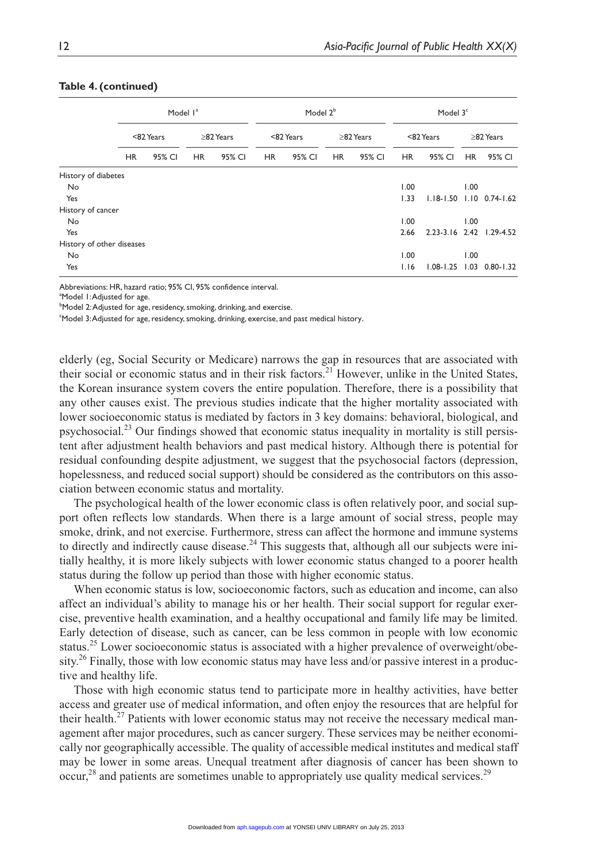|                           |           | Model 1 <sup>ª</sup> |                 |        |           | Model 2 <sup>b</sup> |                 | Model 3 <sup>c</sup> |           |                          |                 |                          |
|---------------------------|-----------|----------------------|-----------------|--------|-----------|----------------------|-----------------|----------------------|-----------|--------------------------|-----------------|--------------------------|
|                           | <82 Years |                      | $\geq$ 82 Years |        | <82 Years |                      | $\geq$ 82 Years |                      | <82 Years |                          | $\geq$ 82 Years |                          |
|                           | <b>HR</b> | 95% CI               | <b>HR</b>       | 95% CI | <b>HR</b> | 95% CI               | <b>HR</b>       | 95% CI               | <b>HR</b> | 95% CI                   | HR.             | 95% CI                   |
| History of diabetes       |           |                      |                 |        |           |                      |                 |                      |           |                          |                 |                          |
| No                        |           |                      |                 |        |           |                      |                 |                      | 1.00      |                          | 1.00            |                          |
| Yes                       |           |                      |                 |        |           |                      |                 |                      | 1.33      |                          |                 | 1.18-1.50 1.10 0.74-1.62 |
| History of cancer         |           |                      |                 |        |           |                      |                 |                      |           |                          |                 |                          |
| No                        |           |                      |                 |        |           |                      |                 |                      | 1.00      |                          | 1.00            |                          |
| Yes                       |           |                      |                 |        |           |                      |                 |                      | 2.66      | 2.23-3.16 2.42 1.29-4.52 |                 |                          |
| History of other diseases |           |                      |                 |        |           |                      |                 |                      |           |                          |                 |                          |
| No                        |           |                      |                 |        |           |                      |                 |                      | 1.00      |                          | 1.00            |                          |
| Yes                       |           |                      |                 |        |           |                      |                 |                      | 1.16      | $1.08 - 1.25$            | 1.03            | $0.80 - 1.32$            |

#### **Table 4. (continued)**

Abbreviations: HR, hazard ratio; 95% CI, 95% confidence interval.

<sup>a</sup>Model 1: Adjusted for age.

 $^{\rm b}$ Model 2:Adjusted for age, residency, smoking, drinking, and exercise.

Model 3: Adjusted for age, residency, smoking, drinking, exercise, and past medical history.

elderly (eg, Social Security or Medicare) narrows the gap in resources that are associated with their social or economic status and in their risk factors.<sup>21</sup> However, unlike in the United States, the Korean insurance system covers the entire population. Therefore, there is a possibility that any other causes exist. The previous studies indicate that the higher mortality associated with lower socioeconomic status is mediated by factors in 3 key domains: behavioral, biological, and psychosocial.<sup>23</sup> Our findings showed that economic status inequality in mortality is still persistent after adjustment health behaviors and past medical history. Although there is potential for residual confounding despite adjustment, we suggest that the psychosocial factors (depression, hopelessness, and reduced social support) should be considered as the contributors on this association between economic status and mortality.

The psychological health of the lower economic class is often relatively poor, and social support often reflects low standards. When there is a large amount of social stress, people may smoke, drink, and not exercise. Furthermore, stress can affect the hormone and immune systems to directly and indirectly cause disease.<sup>24</sup> This suggests that, although all our subjects were initially healthy, it is more likely subjects with lower economic status changed to a poorer health status during the follow up period than those with higher economic status.

When economic status is low, socioeconomic factors, such as education and income, can also affect an individual's ability to manage his or her health. Their social support for regular exercise, preventive health examination, and a healthy occupational and family life may be limited. Early detection of disease, such as cancer, can be less common in people with low economic status.<sup>25</sup> Lower socioeconomic status is associated with a higher prevalence of overweight/obesity.<sup>26</sup> Finally, those with low economic status may have less and/or passive interest in a productive and healthy life.

Those with high economic status tend to participate more in healthy activities, have better access and greater use of medical information, and often enjoy the resources that are helpful for their health.<sup>27</sup> Patients with lower economic status may not receive the necessary medical management after major procedures, such as cancer surgery. These services may be neither economically nor geographically accessible. The quality of accessible medical institutes and medical staff may be lower in some areas. Unequal treatment after diagnosis of cancer has been shown to  $\mathrm{occur.}^{28}$  and patients are sometimes unable to appropriately use quality medical services.<sup>29</sup>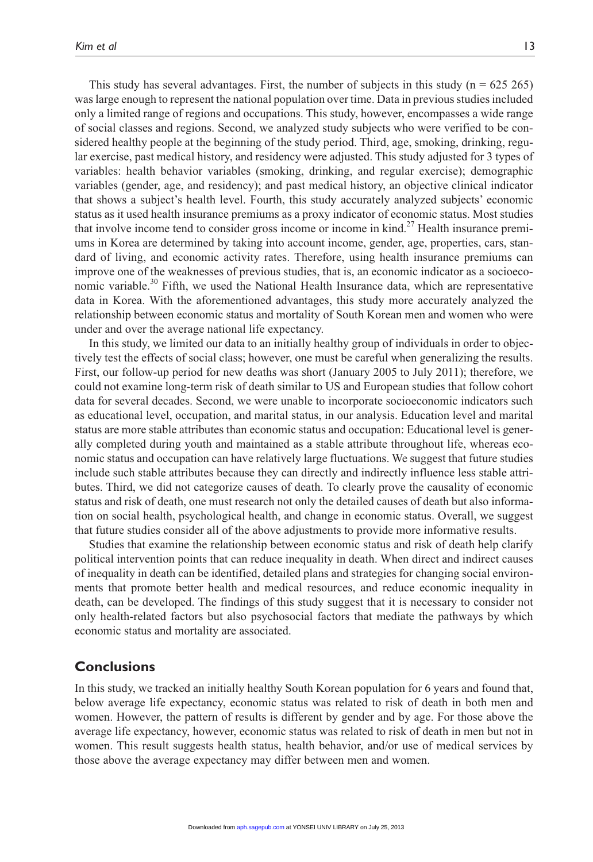This study has several advantages. First, the number of subjects in this study ( $n = 625, 265$ ) was large enough to represent the national population over time. Data in previous studies included only a limited range of regions and occupations. This study, however, encompasses a wide range of social classes and regions. Second, we analyzed study subjects who were verified to be considered healthy people at the beginning of the study period. Third, age, smoking, drinking, regular exercise, past medical history, and residency were adjusted. This study adjusted for 3 types of variables: health behavior variables (smoking, drinking, and regular exercise); demographic variables (gender, age, and residency); and past medical history, an objective clinical indicator that shows a subject's health level. Fourth, this study accurately analyzed subjects' economic status as it used health insurance premiums as a proxy indicator of economic status. Most studies that involve income tend to consider gross income or income in kind.<sup>27</sup> Health insurance premiums in Korea are determined by taking into account income, gender, age, properties, cars, standard of living, and economic activity rates. Therefore, using health insurance premiums can improve one of the weaknesses of previous studies, that is, an economic indicator as a socioeconomic variable.<sup>30</sup> Fifth, we used the National Health Insurance data, which are representative data in Korea. With the aforementioned advantages, this study more accurately analyzed the relationship between economic status and mortality of South Korean men and women who were under and over the average national life expectancy.

In this study, we limited our data to an initially healthy group of individuals in order to objectively test the effects of social class; however, one must be careful when generalizing the results. First, our follow-up period for new deaths was short (January 2005 to July 2011); therefore, we could not examine long-term risk of death similar to US and European studies that follow cohort data for several decades. Second, we were unable to incorporate socioeconomic indicators such as educational level, occupation, and marital status, in our analysis. Education level and marital status are more stable attributes than economic status and occupation: Educational level is generally completed during youth and maintained as a stable attribute throughout life, whereas economic status and occupation can have relatively large fluctuations. We suggest that future studies include such stable attributes because they can directly and indirectly influence less stable attributes. Third, we did not categorize causes of death. To clearly prove the causality of economic status and risk of death, one must research not only the detailed causes of death but also information on social health, psychological health, and change in economic status. Overall, we suggest that future studies consider all of the above adjustments to provide more informative results.

Studies that examine the relationship between economic status and risk of death help clarify political intervention points that can reduce inequality in death. When direct and indirect causes of inequality in death can be identified, detailed plans and strategies for changing social environments that promote better health and medical resources, and reduce economic inequality in death, can be developed. The findings of this study suggest that it is necessary to consider not only health-related factors but also psychosocial factors that mediate the pathways by which economic status and mortality are associated.

#### **Conclusions**

In this study, we tracked an initially healthy South Korean population for 6 years and found that, below average life expectancy, economic status was related to risk of death in both men and women. However, the pattern of results is different by gender and by age. For those above the average life expectancy, however, economic status was related to risk of death in men but not in women. This result suggests health status, health behavior, and/or use of medical services by those above the average expectancy may differ between men and women.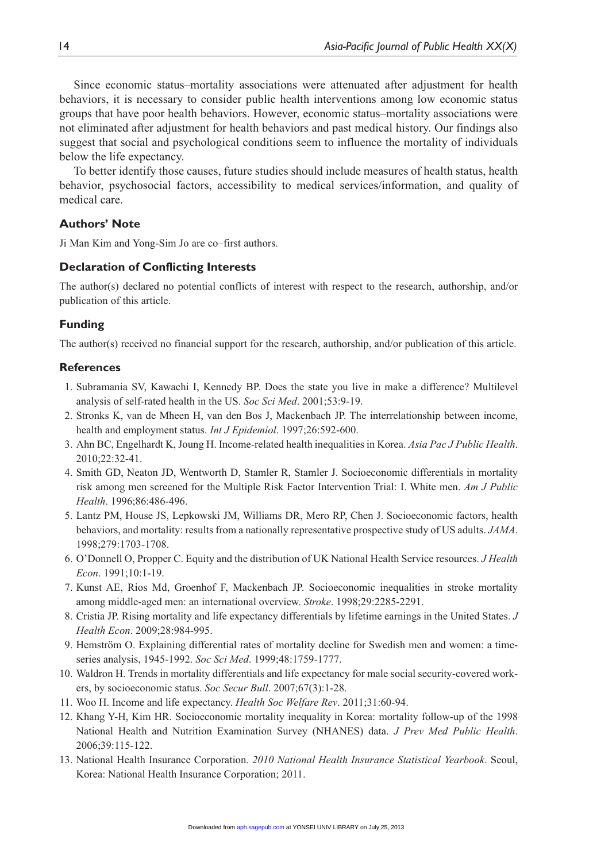Since economic status–mortality associations were attenuated after adjustment for health behaviors, it is necessary to consider public health interventions among low economic status groups that have poor health behaviors. However, economic status–mortality associations were not eliminated after adjustment for health behaviors and past medical history. Our findings also suggest that social and psychological conditions seem to influence the mortality of individuals below the life expectancy.

To better identify those causes, future studies should include measures of health status, health behavior, psychosocial factors, accessibility to medical services/information, and quality of medical care.

#### **Authors' Note**

Ji Man Kim and Yong-Sim Jo are co–first authors.

#### **Declaration of Conflicting Interests**

The author(s) declared no potential conflicts of interest with respect to the research, authorship, and/or publication of this article.

#### **Funding**

The author(s) received no financial support for the research, authorship, and/or publication of this article.

#### **References**

- 1. Subramania SV, Kawachi I, Kennedy BP. Does the state you live in make a difference? Multilevel analysis of self-rated health in the US. *Soc Sci Med*. 2001;53:9-19.
- 2. Stronks K, van de Mheen H, van den Bos J, Mackenbach JP. The interrelationship between income, health and employment status. *Int J Epidemiol*. 1997;26:592-600.
- 3. Ahn BC, Engelhardt K, Joung H. Income-related health inequalities in Korea. *Asia Pac J Public Health*. 2010;22:32-41.
- 4. Smith GD, Neaton JD, Wentworth D, Stamler R, Stamler J. Socioeconomic differentials in mortality risk among men screened for the Multiple Risk Factor Intervention Trial: I. White men. *Am J Public Health*. 1996;86:486-496.
- 5. Lantz PM, House JS, Lepkowski JM, Williams DR, Mero RP, Chen J. Socioeconomic factors, health behaviors, and mortality: results from a nationally representative prospective study of US adults. *JAMA*. 1998;279:1703-1708.
- 6. O'Donnell O, Propper C. Equity and the distribution of UK National Health Service resources. *J Health Econ*. 1991;10:1-19.
- 7. Kunst AE, Rios Md, Groenhof F, Mackenbach JP. Socioeconomic inequalities in stroke mortality among middle-aged men: an international overview. *Stroke*. 1998;29:2285-2291.
- 8. Cristia JP. Rising mortality and life expectancy differentials by lifetime earnings in the United States. *J Health Econ*. 2009;28:984-995.
- 9. Hemström O. Explaining differential rates of mortality decline for Swedish men and women: a timeseries analysis, 1945-1992. *Soc Sci Med*. 1999;48:1759-1777.
- 10. Waldron H. Trends in mortality differentials and life expectancy for male social security-covered workers, by socioeconomic status. *Soc Secur Bull*. 2007;67(3):1-28.
- 11. Woo H. Income and life expectancy. *Health Soc Welfare Rev*. 2011;31:60-94.
- 12. Khang Y-H, Kim HR. Socioeconomic mortality inequality in Korea: mortality follow-up of the 1998 National Health and Nutrition Examination Survey (NHANES) data. *J Prev Med Public Health*. 2006;39:115-122.
- 13. National Health Insurance Corporation. *2010 National Health Insurance Statistical Yearbook*. Seoul, Korea: National Health Insurance Corporation; 2011.